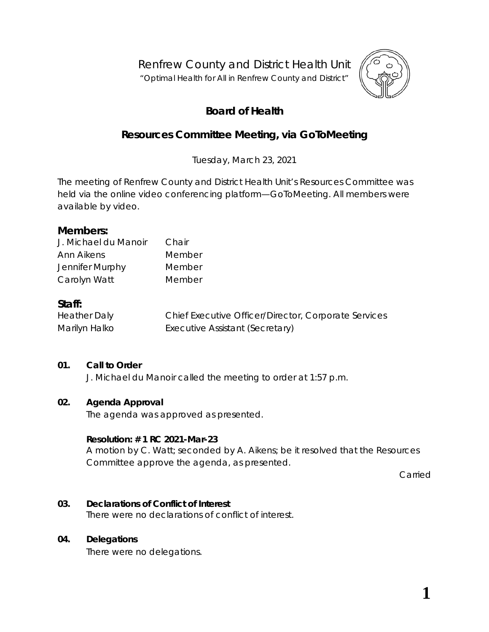Renfrew County and District Health Unit

"*Optimal Health for All in Renfrew County and District"*



# **Board of Health**

## **Resources Committee Meeting, via** *GoToMeeting*

Tuesday, March 23, 2021

The meeting of Renfrew County and District Health Unit's Resources Committee was held via the online video conferencing platform—*GoToMeeting*. All members were available by video.

### **Members:**

| J. Michael du Manoir | Chair  |
|----------------------|--------|
| Ann Aikens           | Member |
| Jennifer Murphy      | Member |
| Carolyn Watt         | Member |

### **Staff:**

| <b>Heather Daly</b> | Chief Executive Officer/Director, Corporate Services |
|---------------------|------------------------------------------------------|
| Marilyn Halko       | Executive Assistant (Secretary)                      |

#### **01. Call to Order**

J. Michael du Manoir called the meeting to order at 1:57 p.m.

#### **02. Agenda Approval**

The agenda was approved as presented.

#### **Resolution: # 1 RC 2021-Mar-23**

A motion by C. Watt; seconded by A. Aikens; be it resolved that the Resources Committee approve the agenda, as presented.

Carried

#### **03. Declarations of Conflict of Interest**

There were no declarations of conflict of interest.

#### **04. Delegations**

There were no delegations.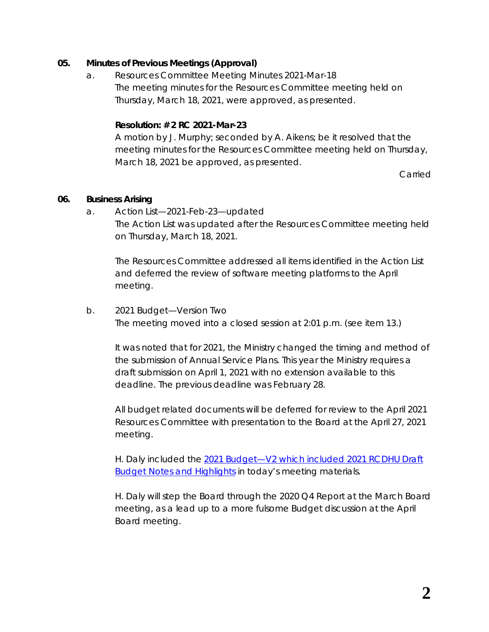### **05. Minutes of Previous Meetings (Approval)**

a. Resources Committee Meeting Minutes 2021-Mar-18 The meeting minutes for the Resources Committee meeting held on Thursday, March 18, 2021, were approved, as presented.

### **Resolution: # 2 RC 2021-Mar-23**

A motion by J. Murphy; seconded by A. Aikens; be it resolved that the meeting minutes for the Resources Committee meeting held on Thursday, March 18, 2021 be approved, as presented.

Carried

#### **06. Business Arising**

a. Action List—2021-Feb-23—updated The Action List was updated after the Resources Committee meeting held on Thursday, March 18, 2021.

The Resources Committee addressed all items identified in the Action List and deferred the review of software meeting platforms to the April meeting.

#### b. 2021 Budget—Version Two

The meeting moved into a closed session at 2:01 p.m. (see item 13.)

It was noted that for 2021, the Ministry changed the timing and method of the submission of Annual Service Plans. This year the Ministry requires a draft submission on April 1, 2021 with no extension available to this deadline. The previous deadline was February 28.

All budget related documents will be deferred for review to the April 2021 Resources Committee with presentation to the Board at the April 27, 2021 meeting.

H. Daly included the [2021 Budget—V2 which included 2021 RCDHU Draft](https://www.rcdhu.com/wp-content/uploads/2021/04/06.-b.-2021-Budget-V2-DRAFT.pdf) **[Budget Notes and Highlights](https://www.rcdhu.com/wp-content/uploads/2021/04/06.-b.-2021-Budget-V2-DRAFT.pdf) in today's meeting materials.** 

H. Daly will step the Board through the 2020 Q4 Report at the March Board meeting, as a lead up to a more fulsome Budget discussion at the April Board meeting.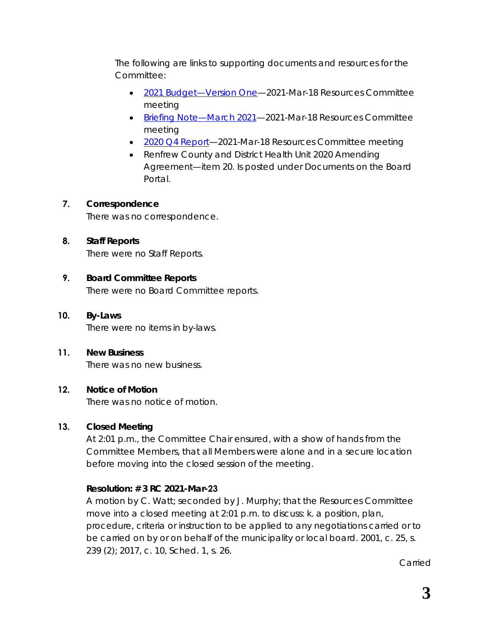The following are links to supporting documents and resources for the Committee:

- [2021 Budget—Version One—](https://www.rcdhu.com/wp-content/uploads/2021/04/11.-a.-2021-Budget-Draft-1.pdf)2021-Mar-18 Resources Committee meeting
- [Briefing Note—March 2021—](https://www.rcdhu.com/wp-content/uploads/2021/04/06.-b.-i.-Briefing-Note-March-2021.pdf)2021-Mar-18 Resources Committee meeting
- 2020 Q4 Report-2021-Mar-18 Resources Committee meeting
- Renfrew County and District Health Unit 2020 Amending Agreement—item 20. Is posted under *Documents* on the Board Portal.

### **7. Correspondence**

There was no correspondence.

### **8. Staff Reports**

There were no Staff Reports.

### **9. Board Committee Reports**

There were no Board Committee reports.

### **10. By-Laws**

There were no items in by-laws.

#### **11. New Business**

There was no new business.

#### **12. Notice of Motion**

There was no notice of motion.

### **13. Closed Meeting**

At 2:01 p.m., the Committee Chair ensured, with a show of hands from the Committee Members, that all Members were alone and in a secure location before moving into the closed session of the meeting.

### **Resolution: # 3 RC 2021-Mar-23**

A motion by C. Watt; seconded by J. Murphy; that the Resources Committee move into a closed meeting at 2:01 p.m. to discuss: k. a position, plan, procedure, criteria or instruction to be applied to any negotiations carried or to be carried on by or on behalf of the municipality or local board. 2001, c. 25, s. 239 (2); 2017, c. 10, Sched. 1, s. 26.

Carried